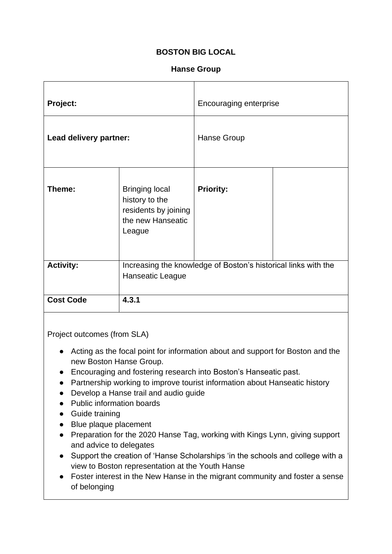## **BOSTON BIG LOCAL**

## **Hanse Group**

| <b>Project:</b>        |                                                                                                | <b>Encouraging enterprise</b> |  |
|------------------------|------------------------------------------------------------------------------------------------|-------------------------------|--|
| Lead delivery partner: |                                                                                                | Hanse Group                   |  |
| Theme:                 | <b>Bringing local</b><br>history to the<br>residents by joining<br>the new Hanseatic<br>League | <b>Priority:</b>              |  |
| <b>Activity:</b>       | Increasing the knowledge of Boston's historical links with the<br>Hanseatic League             |                               |  |
| <b>Cost Code</b>       | 4.3.1                                                                                          |                               |  |

Project outcomes (from SLA)

- Acting as the focal point for information about and support for Boston and the new Boston Hanse Group.
- Encouraging and fostering research into Boston's Hanseatic past.
- Partnership working to improve tourist information about Hanseatic history
- Develop a Hanse trail and audio guide
- Public information boards
- Guide training
- Blue plaque placement
- Preparation for the 2020 Hanse Tag, working with Kings Lynn, giving support and advice to delegates
- Support the creation of 'Hanse Scholarships 'in the schools and college with a view to Boston representation at the Youth Hanse
- Foster interest in the New Hanse in the migrant community and foster a sense of belonging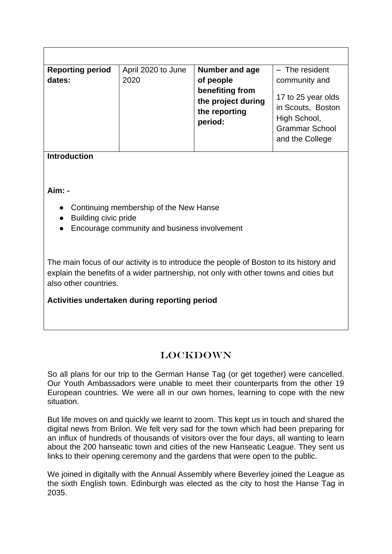| <b>Reporting period</b><br>dates: | April 2020 to June<br>2020 | Number and age<br>of people<br>benefiting from<br>the project during<br>the reporting<br>period: | $-$ The resident<br>community and<br>17 to 25 year olds<br>in Scouts, Boston<br>High School,<br><b>Grammar School</b><br>and the College |
|-----------------------------------|----------------------------|--------------------------------------------------------------------------------------------------|------------------------------------------------------------------------------------------------------------------------------------------|

**Introduction**

**Aim: -**

- Continuing membership of the New Hanse
- Building civic pride
- Encourage community and business involvement

The main focus of our activity is to introduce the people of Boston to its history and explain the benefits of a wider partnership, not only with other towns and cities but also other countries.

**Activities undertaken during reporting period**

## LOCKDOWN

So all plans for our trip to the German Hanse Tag (or get together) were cancelled. Our Youth Ambassadors were unable to meet their counterparts from the other 19 European countries. We were all in our own homes, learning to cope with the new situation.

But life moves on and quickly we learnt to zoom. This kept us in touch and shared the digital news from Brilon. We felt very sad for the town which had been preparing for an influx of hundreds of thousands of visitors over the four days, all wanting to learn about the 200 hanseatic town and cities of the new Hanseatic League. They sent us links to their opening ceremony and the gardens that were open to the public.

We joined in digitally with the Annual Assembly where Beverley joined the League as the sixth English town. Edinburgh was elected as the city to host the Hanse Tag in 2035.